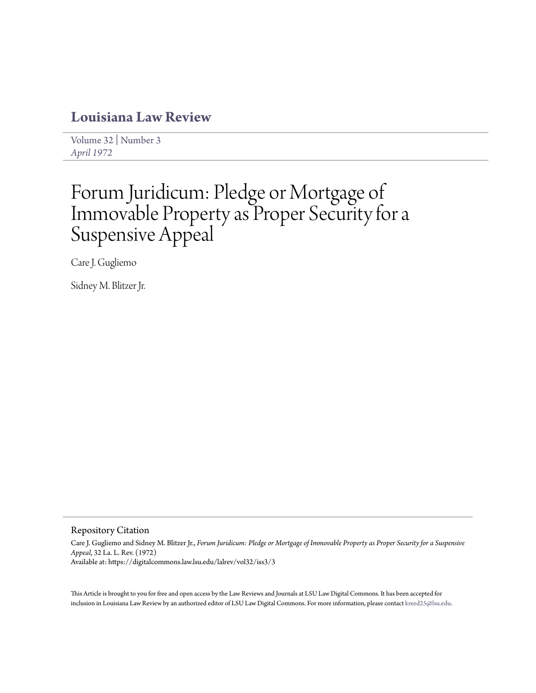# **[Louisiana Law Review](https://digitalcommons.law.lsu.edu/lalrev)**

[Volume 32](https://digitalcommons.law.lsu.edu/lalrev/vol32) | [Number 3](https://digitalcommons.law.lsu.edu/lalrev/vol32/iss3) *[April 1972](https://digitalcommons.law.lsu.edu/lalrev/vol32/iss3)*

# Forum Juridicum: Pledge or Mortgage of Immovable Property as Proper Security for a Suspensive Appeal

Care J. Gugliemo

Sidney M. Blitzer Jr.

## Repository Citation

Care J. Gugliemo and Sidney M. Blitzer Jr., *Forum Juridicum: Pledge or Mortgage of Immovable Property as Proper Security for a Suspensive Appeal*, 32 La. L. Rev. (1972) Available at: https://digitalcommons.law.lsu.edu/lalrev/vol32/iss3/3

This Article is brought to you for free and open access by the Law Reviews and Journals at LSU Law Digital Commons. It has been accepted for inclusion in Louisiana Law Review by an authorized editor of LSU Law Digital Commons. For more information, please contact [kreed25@lsu.edu](mailto:kreed25@lsu.edu).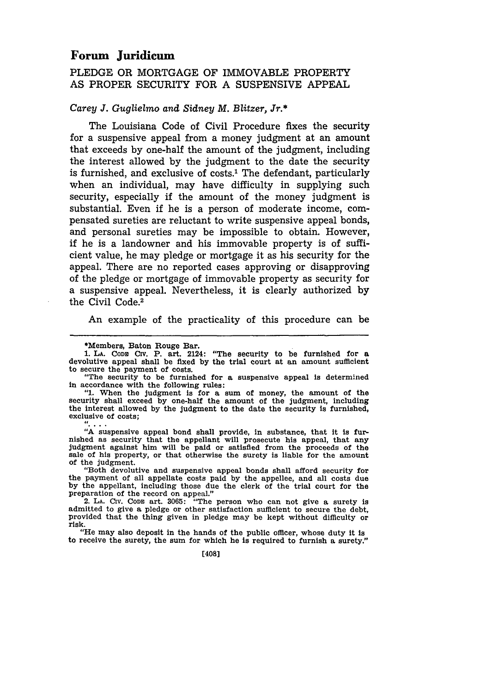# **Forum Juridicum**

## PLEDGE OR MORTGAGE OF IMMOVABLE PROPERTY AS PROPER SECURITY FOR A SUSPENSIVE APPEAL

#### *Carey J. Guglielmo and Sidney M. Blitzer, Jr.\**

The Louisiana Code of Civil Procedure fixes the security for a suspensive appeal from a money judgment at an amount that exceeds by one-half the amount of the judgment, including the interest allowed by the judgment to the date the security is furnished, and exclusive of costs.<sup>1</sup> The defendant, particularly when an individual, may have difficulty in supplying such security, especially if the amount of the money judgment is substantial. Even if he is a person of moderate income, compensated sureties are reluctant to write suspensive appeal bonds, and personal sureties may be impossible to obtain. However, if he is a landowner and his immovable property is of sufficient value, he may pledge or mortgage it as his security for the appeal. There are no reported cases approving or disapproving of the pledge or mortgage of immovable property as security for a suspensive appeal. Nevertheless, it is clearly authorized by the Civil Code.<sup>2</sup>

An example of the practicality of this procedure can be

"1. When the judgment is for a sum of money, the amount of the security shall exceed by one-half the amount of the judgment, including the interest allowed by the judgment to the date the security is furnished, the interest allowed by the judgment to the date the security is furnished, exclusive of costs;

**"A** suspensive appeal bond shall provide, in substance, that it is furnished as security that the appellant will prosecute his appeal, that any judgment against him will be paid or satisfied from the proceeds of the sale of his property, or that otherwise the surety is liable for the amount of the judgment.

"Both devolutive and suspensive appeal bonds shall afford security for the payment of all appellate costs paid **by** the appellee, and all costs due **by** the appellant, including those due the clerk of the trial court for the preparation of the record on appeal." 2. **LA.** Civ. **CODE** art. **3065:** "The person who can not give a surety is

admitted to give a pledge or other satisfaction sufficient to secure the debt,<br>provided that the thing given in pledge may be kept without difficulty or<br>risk. "He may also deposit in the hands of the public officer, whose duty it is

to receive the surety, the sum for which he is required to furnish a surety."

[408]

<sup>\*</sup>Members, Baton Rouge Bar. devolutive appeal shall be fixed by the trial court at an amount sufficient to secure the payment of costs.

<sup>&</sup>quot;The security to be furnished for a suspensive appeal is determined in accordance with the following rules: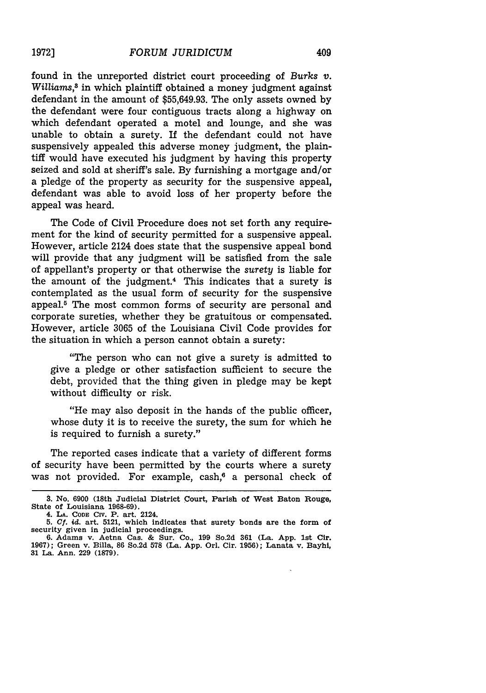appeal was heard.

found in the unreported district court proceeding of *Burks v.* Williams,<sup>8</sup> in which plaintiff obtained a money judgment against defendant in the amount of \$55,649.93. The only assets owned by the defendant were four contiguous tracts along a highway on which defendant operated a motel and lounge, and she was unable to obtain a surety. If the defendant could not have suspensively appealed this adverse money judgment, the plaintiff would have executed his judgment by having this property seized and sold at sheriff's sale. By furnishing a mortgage and/or a pledge of the property as security for the suspensive appeal,

defendant was able to avoid loss of her property before the

The Code of Civil Procedure does not set forth any requirement for the kind of security permitted for a suspensive appeal. However, article 2124 does state that the suspensive appeal bond will provide that any judgment will be satisfied from the sale of appellant's property or that otherwise the *surety* is liable for the amount of the judgment.4 This indicates that a surety is contemplated as the usual form of security for the suspensive appeal. $5$  The most common forms of security are personal and corporate sureties, whether they be gratuitous or compensated. However, article 3065 of the Louisiana Civil Code provides for the situation in which a person cannot obtain a surety:

"The person who can not give a surety is admitted to give a pledge or other satisfaction sufficient to secure the debt, provided that the thing given in pledge may be kept without difficulty or risk.

"He may also deposit in the hands of the public officer, whose duty it is to receive the surety, the sum for which he is required to furnish a surety."

The reported cases indicate that a variety of different forms of security have been permitted by the courts where a surety was not provided. For example, cash, $6$  a personal check of

**<sup>3.</sup> No. 6900 (18th Judicial District Court, Parish of** West **Baton** Rouge, **State of Louisiana 1968-69).**

**<sup>4.</sup> LA. CODE Civ.** P. **art.** 2124.

**<sup>5.</sup>** *Cf. id.* art. **5121,** which **indicates** that surety **bonds are** the form of security given **in** judicial proceedings.

**<sup>6.</sup> Adams** v. Aetna Cas. **&** Sur. Co., **199** So.2d **361** (La. **App. 1st** Cir. **1967);** Green v. Billa, **86** So.2d **578 (La. App.** Orl. Cir. **1956); Lanata** v. **Bayhi, 31 La.** Ann. **229 (1879).**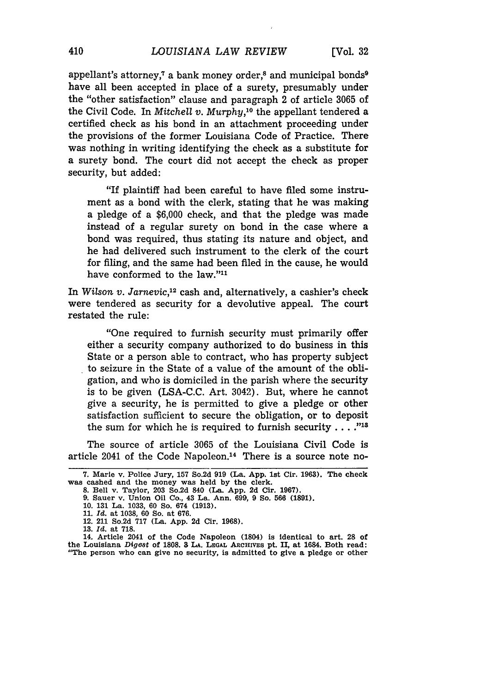appellant's attorney,<sup> $7$ </sup> a bank money order,<sup>8</sup> and municipal bonds<sup>9</sup> have all been accepted in place of a surety, presumably under the "other satisfaction" clause and paragraph 2 of article 3065 of the Civil Code. In *Mitchell v. Murphy,10* the appellant tendered a certified check as his bond in an attachment proceeding under the provisions of the former Louisiana Code of Practice. There was nothing in writing identifying the check as a substitute for a surety bond. The court did not accept the check as proper security, but added:

"If plaintiff had been careful to have filed some instrument as a bond with the clerk, stating that he was making a pledge of a \$6,000 check, and that the pledge was made instead of a regular surety on bond in the case where a bond was required, thus stating its nature and object, and he had delivered such instrument to the clerk of the court for filing, and the same had been filed in the cause, he would have conformed to the law."<sup>11</sup>

In *Wilson v. Jarnevic,"2* cash and, alternatively, a cashier's check were tendered as security for a devolutive appeal. The court restated the rule:

"One required to furnish security must primarily offer either a security company authorized to do business in this State or a person able to contract, who has property subject to seizure in the State of a value of the amount of the obligation, and who is domiciled in the parish where the security is to be given (LSA-C.C. Art. 3042). But, where he cannot give a security, he is permitted to give a pledge or other satisfaction sufficient to secure the obligation, or to deposit the sum for which he is required to furnish security **...."18**

The source of article 3065 of the Louisiana Civil Code is article 2041 of the Code Napoleon.<sup>14</sup> There is a source note no-

**13.** *Id.* **at 718.**

**14. Article 2041 of the Code Napoleon (1804) is identical to art. 28 of the Louisiana** *Digest* **of 1808. 3 LA. LEGAL ARCHIVES pt. II, at 1684. Both read: "The person who can give no security, is admitted to give a pledge or other**

**<sup>7.</sup> Marie v. Police Jury, 157 So.2d 919 (La. App. 1st Cir. 1963). The check was cashed and the money was held by the clerk.**

**<sup>8.</sup> Bell v. Taylor, 203 So.2d 840 (La. App. 2d Cir. 1967).**

**<sup>9.</sup> Sauer v. Union Oil Co., 43 La. Ann. 699, 9 So. 566 (1891).**

**<sup>10. 131</sup> La. 1033, 60 So. 674 (1913).**

**<sup>11.</sup>** *Id.* **at 1038, 60 So. at 676.**

**<sup>12. 211</sup> So.2d 717 (La. App. 2d Cir. 1968).**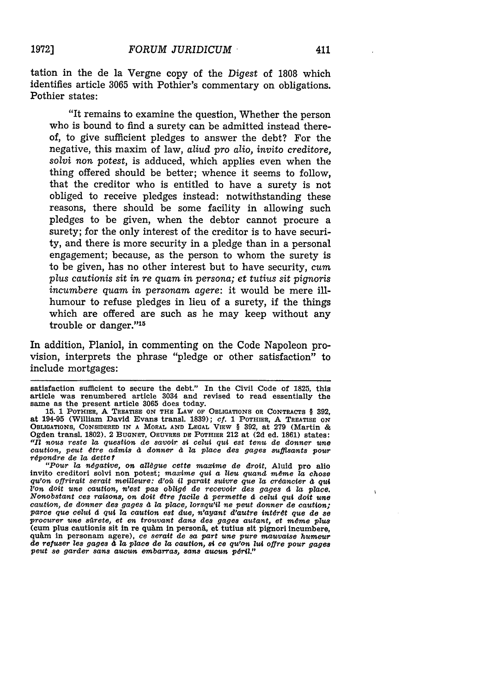"It remains to examine the question, Whether the person who is bound to find a surety can be admitted instead thereof, to give sufficient pledges to answer the debt? For the negative, this maxim of law, *aliud pro alio, invito creditore, solvi non potest,* is adduced, which applies even when the thing offered should be better; whence it seems to follow, that the creditor who is entitled to have a surety is not obliged to receive pledges instead: notwithstanding these reasons, there should be some facility in allowing such pledges to be given, when the debtor cannot procure a surety; for the only interest of the creditor is to have security, and there is more security in a pledge than in a personal engagement; because, as the person to whom the surety is to be given, has no other interest but to have security, *cum plus cautionis sit in re quam in persona; et tutius sit pignoris incumbere quam in personam agere:* it would be mere illhumour to refuse pledges in lieu of a surety, if the things which are offered are such as he may keep without any trouble or danger."<sup>15</sup>

In addition, Planiol, in commenting on the Code Napoleon provision, interprets the phrase "pledge or other satisfaction" to include mortgages:

satisfaction sufficient to secure the debt." In the Civil Code of **1825,** this article was renumbered article 3034 and revised to read essentially the same as the present article **3065** does today. **15. 1 POTHIER, A TREATISE ON THE LAW OF OBLIGATIONS OR CONTRACTS** § **392,**

at 194-95 (William David Evans transl. **1839); Cf. 1 POTHIER, A TREATISE ON OBLIGATIONS, CONSIDERED IN A MORAL AND LEGAL** VIEW § 392, at **279** (Martin **& Ogden transl. 1802).** 2 **BUGNET, OEUVRES DE POTHIER** 212 at **(2d** ed. **1861) states:** "Il nous reste la question de savoir si celui qui est tenu de donner une *caution, peut dtre admis* **d** *donner <sup>4</sup>*la *place des gages suffisants pour rdpondre de la dette?*

*"Pour la ndgative, on alldgue cette maxime de drolt,* Aluid pro alio invito creditori solvi non potest; *maxime* qui *a lieu quand mtme la chose qu'on offrirait serait meilleure: d'oll il paralt suivre que la crdancier 4 qui l'on doit une caution, n'est pas* obligd *de recevoir des gages 4 la place. Nonobstant ces raisons, on doit dtre facile d permette* **d** *celu qui doit une caution, de donner des gages* **<sup>d</sup>**la *place, lorsqu'il ne pout donner de caution; pares que celu* **d** *qui 7a caution est due, n'ayant d'autre intdt que de* **so** *procurer une sirete, et en trouvant dans des gages autant, et midme plus* (cum plus cautionis sit in re quàm in personâ, et tutius sit pignori incumbere, qu&m in personam agere), *ce serait de sa part une pure mauvaise humeur* de refuser les gages à la place de la caution, si ce qu'on lui offre pour gages pout *se garder sans aucun embarras, sans aucun pdril."*

 $\lambda$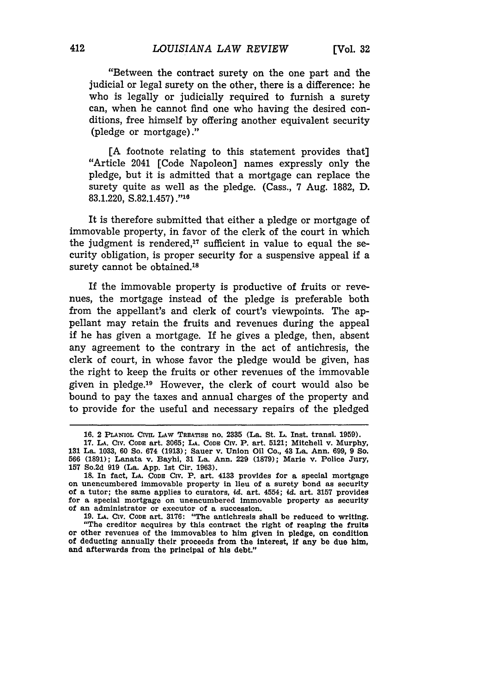"Between the contract surety on the one part and the judicial or legal surety on the other, there is a difference: he who is legally or judicially required to furnish a surety can, when he cannot find one who having the desired conditions, free himself by offering another equivalent security (pledge or mortgage)."

[A footnote relating to this statement provides that] "Article 2041 [Code Napoleon] names expressly only the pledge, but it is admitted that a mortgage can replace the surety quite as well as the pledge. (Cass., 7 Aug. 1882, D. 83.1.220, S.82.1.457)."10

It is therefore submitted that either a pledge or mortgage of immovable property, in favor of the clerk of the court in which the judgment is rendered,<sup>17</sup> sufficient in value to equal the security obligation, is proper security for a suspensive appeal if a surety cannot be obtained.<sup>18</sup>

If the immovable property is productive of fruits or revenues, the mortgage instead of the pledge is preferable both from the appellant's and clerk of court's viewpoints. The appellant may retain the fruits and revenues during the appeal if he has given a mortgage. If he gives a pledge, then, absent any agreement to the contrary in the act of antichresis, the clerk of court, in whose favor the pledge would be given, has the right to keep the fruits or other revenues of the immovable given in pledge.19 However, the clerk of court would also be bound to pay the taxes and annual charges of the property and to provide for the useful and necessary repairs of the pledged

**<sup>16. 2</sup> PLANIOL CIVIL LAW TREATIsE no. 2335** (La. St. L. Inst. transl. **1959).**

**<sup>17.</sup> LA. CIV. CODE art. 3065; LA. CODE Civ. P. art. 5121; Mitchell v. Murphy, 131** La. **1033, 60** So. 674 **(1913);** Sauer **v. Union Oil Co., 43 La. Ann. 699, 9 So. 566 (1891);** Lanata v. **Bayhi, 31** La. Ann. **229 (1879);** Marie v. Police Jury, **157 So.2d 919** (La. **App. 1st** Cir. **1963).**

**<sup>18.</sup> In fact, LA. CODE Civ. P. art. 4133** provides for a special mortgage on unencumbered immovable property in lieu **of a surety bond as security** of a tutor; the same applies to curators, *id.* art. 4554; *id.* **art. 3157 provides** for a special mortgage on unencumbered Immovable property as security of an administrator or executor of a succession.

**<sup>19.</sup> LA. Civ. CODE** art. **3176:** "The antlchresis shall be reduced to writing. "The creditor acquires **by** this contract the right of reaping the fruits or other revenues of the immovables to him given in pledge, on condition of deducting annually their proceeds from the interest, **if** any be due him, and afterwards from the principal of his debt."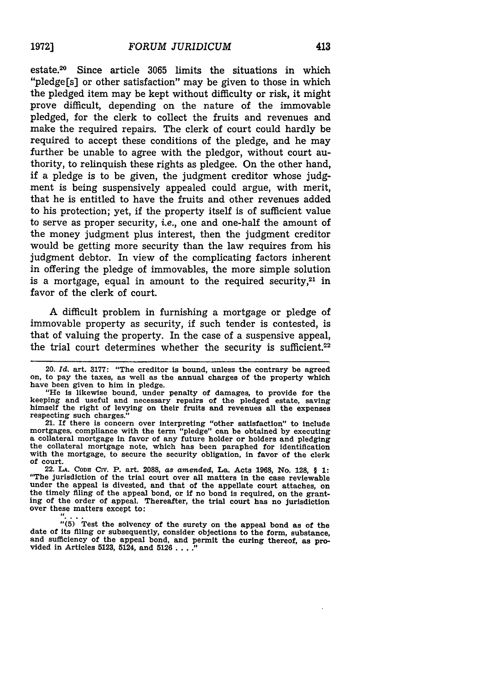estate.<sup>20</sup> Since article 3065 limits the situations in which "pledge[s] or other satisfaction" may be given to those in which the pledged item may be kept without difficulty or risk, it might prove difficult, depending on the nature of the immovable pledged, for the clerk to collect the fruits and revenues and make the required repairs. The clerk of court could hardly be required to accept these conditions of the pledge, and he may further be unable to agree with the pledgor, without court authority, to relinquish these rights as pledgee. On the other hand, if a pledge is to be given, the judgment creditor whose judgment is being suspensively appealed could argue, with merit, that he is entitled to have the fruits and other revenues added to his protection; yet, if the property itself is of sufficient value to serve as proper security, *i.e.,* one and one-half the amount of the money judgment plus interest, then the judgment creditor would be getting more security than the law requires from his judgment debtor. In view of the complicating factors inherent in offering the pledge of immovables, the more simple solution is a mortgage, equal in amount to the required security, $21$  in favor of the clerk of court.

A difficult problem in furnishing a mortgage or pledge of immovable property as security, if such tender is contested, is that of valuing the property. In the case of a suspensive appeal, the trial court determines whether the security is sufficient. $22$ 

have been given to him in pledge.<br>
"He is likewise bound, under penalty of damages, to provide for the<br>
keeping and useful and necessary repairs of the pledged estate, saving himself the right of levying on their fruits and revenues all the expenses respecting such charges."

21. If there is concern over interpreting "other satisfaction" to include executing mortgages, compliance with the term "pledge" can be obtained by executing<br>a collateral mortgage in favor of any future holder or holders and pledging<br>the collateral mortgage note, which has been paraphed for iden with the mortgage, to secure the security obligation, in favor of the clerk of court.

22. **LA. CODD CIV.** P. art. **2088,** *as amended,* La. Acts **1968,** No. **128,** § **1:** "The jurisdiction of the trial court over all matters In the case reviewable under the appeal is divested, and that of the appellate court attaches, on the timely filing of the appeal bond, or if no bond is required, on the granting of the order of appeal. Thereafter, the trial court has no jurisdi

"(5) Test the solvency of the surety on the appeal bond as of the<br>"(5) Test the solvency of the suretions to the form, substance, date of its filing or subsequently, consider objections to the form, substance, and sufficiency of the appeal bond, and permit the curing thereof, as provided in Articles **5123,** 5124, and **5126** . **.. ."**

<sup>20.</sup> *Id.* art. **3177:** "The creditor is bound, unless the contrary be agreed on, to pay the taxes, as well as the annual charges of the property which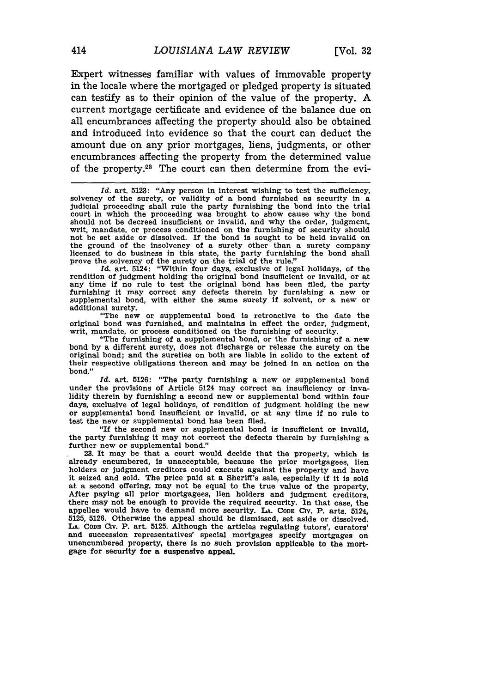Expert witnesses familiar with values of immovable property in the locale where the mortgaged or pledged property is situated can testify as to their opinion of the value of the property. A current mortgage certificate and evidence of the balance due on all encumbrances affecting the property should also be obtained and introduced into evidence so that the court can deduct the amount due on any prior mortgages, liens, judgments, or other encumbrances affecting the property from the determined value of the property. $23$  The court can then determine from the evi-

rendition of judgment holding the original bond insufficient or invalid, or at any time if no rule to test the original bond has been filed, the party furnishing it may correct any defects therein **by** furnishing a new or supplemental bond, with either the same surety **if** solvent, or a new or additional surety.

"The new or supplemental bond is retroactive to the date the original bond was furnished, and maintains in effect the order, judgment, writ, mandate, or process conditioned on the furnishing of security.<br>"The furnishing of a supplemental bond, or the furnishing of a new

bond by a different surety, does not discharge or release the surety on the original bond; and the sureties on both are liable in solido to the extent of their respective obligations thereon and may be joined in an action on the bond."

*Id.* art. **5126:** "The party furnishing a new or supplemental bond under the provisions of Article 5124 may correct an insufficiency or invalidity therein **by** furnishing a second new or supplemental bond within four days, exclusive of legal holidays, of rendition of judgment holding the new or supplemental bond insufficient or invalid, or at any time **If** no rule to test the new or supplemental bond has been filed.

"If the second new or supplemental bond is insufficient or invalid, the party furnishing it may not correct the defects therein **by** furnishing a further new or supplemental bond."

**23.** It may be that a court would decide that the property, which is already encumbered, is unacceptable, because the prior mortgagees, lien holders or judgment creditors could execute against the property and have it seized and sold. The price paid at a Sheriff's sale, especially if it is sold at a second offering, may not be equal to the true value of the property. After paying all prior mortgagees, lien holders and judgment creditors there may not be enough to provide the required security. In that case, the appellee would have to demand more security. LA. Cobe Civ. P. arts. 5124. **5125, 5126.** Otherwise the appeal should be dismissed, set aside or dissolved. **LA. CODS** CIV. P. art. **5125.** Although the articles regulating tutors', curators' and succession representatives' special mortgages specify mortgages on unencumbered property, there is no such provision applicable to the mortgage for security for a suspensive appeal.

Id. art. 5123: "Any person in interest wishing to test the sufficiency, solvency of the surety, or validity of a bond furnished as security in a judicial proceeding shall rule the party furnishing the bond into the trial court in which the proceeding was brought to show cause why the bond should not be decreed insufficient or invalid, and why the order, judgment, writ, mandate, or process conditioned on the furnishing of security should not be set aside or dissolved. **If** the bond is sought to be held invalid **on** the ground of the insolvency of a surety other than a surety company licensed to do business in this state, the party furnishing the bond shall prove the solvency of the surety on the trial of the rule."<br>*Id.* art. 5124: "Within four days, exclusive of legal holidays, of the